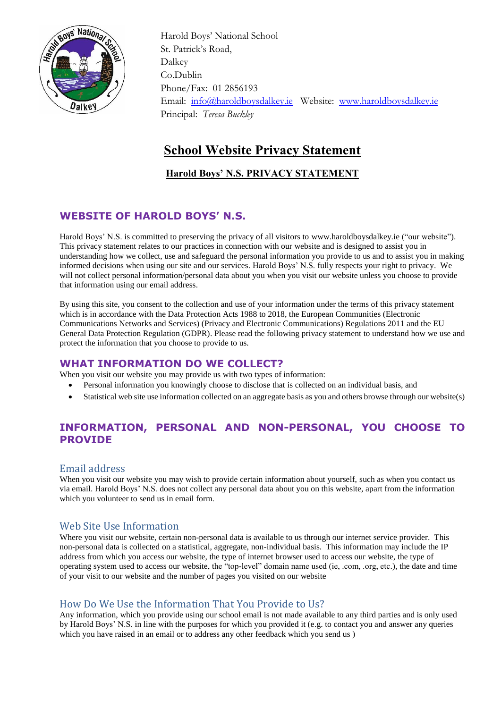

 Harold Boys' National School St. Patrick's Road, Dalkey Co.Dublin Phone/Fax: 01 2856193 Email: [info@haroldboysdalkey.ie](mailto:info@haroldboysdalkey.ie) Website: [www.haroldboysdalkey.ie](http://www.haroldboysdalkey.ie/) Principal: *Teresa Buckley*

# **School Website Privacy Statement**

# **Harold Boys' N.S. PRIVACY STATEMENT**

# **WEBSITE OF HAROLD BOYS' N.S.**

Harold Boys' N.S. is committed to preserving the privacy of all visitors to www.haroldboysdalkey.ie ("our website"). This privacy statement relates to our practices in connection with our website and is designed to assist you in understanding how we collect, use and safeguard the personal information you provide to us and to assist you in making informed decisions when using our site and our services. Harold Boys' N.S. fully respects your right to privacy. We will not collect personal information/personal data about you when you visit our website unless you choose to provide that information using our email address.

By using this site, you consent to the collection and use of your information under the terms of this privacy statement which is in accordance with the Data Protection Acts 1988 to 2018, the European Communities (Electronic Communications Networks and Services) (Privacy and Electronic Communications) Regulations 2011 and the EU General Data Protection Regulation (GDPR). Please read the following privacy statement to understand how we use and protect the information that you choose to provide to us.

# **WHAT INFORMATION DO WE COLLECT?**

When you visit our website you may provide us with two types of information:

- Personal information you knowingly choose to disclose that is collected on an individual basis, and
- Statistical web site use information collected on an aggregate basis as you and others browse through our website(s)

# **INFORMATION, PERSONAL AND NON-PERSONAL, YOU CHOOSE TO PROVIDE**

### Email address

When you visit our website you may wish to provide certain information about yourself, such as when you contact us via email. Harold Boys' N.S. does not collect any personal data about you on this website, apart from the information which you volunteer to send us in email form.

# Web Site Use Information

Where you visit our website, certain non-personal data is available to us through our internet service provider. This non-personal data is collected on a statistical, aggregate, non-individual basis. This information may include the IP address from which you access our website, the type of internet browser used to access our website, the type of operating system used to access our website, the "top-level" domain name used (ie, .com, .org, etc.), the date and time of your visit to our website and the number of pages you visited on our website

### How Do We Use the Information That You Provide to Us?

Any information, which you provide using our school email is not made available to any third parties and is only used by Harold Boys' N.S. in line with the purposes for which you provided it (e.g. to contact you and answer any queries which you have raised in an email or to address any other feedback which you send us )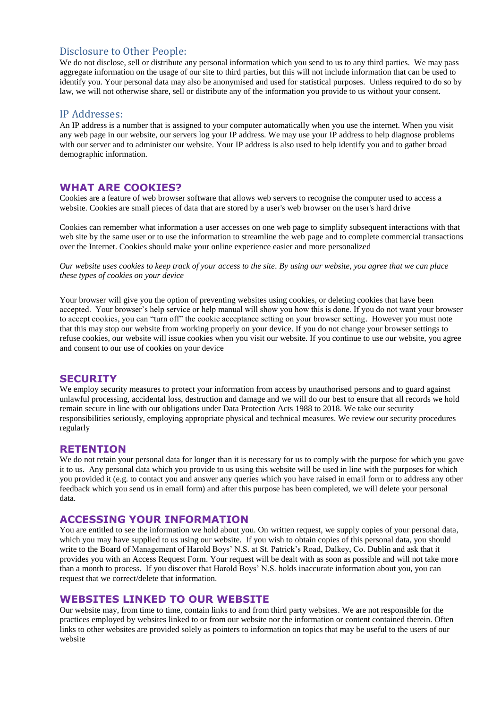#### Disclosure to Other People:

We do not disclose, sell or distribute any personal information which you send to us to any third parties. We may pass aggregate information on the usage of our site to third parties, but this will not include information that can be used to identify you. Your personal data may also be anonymised and used for statistical purposes. Unless required to do so by law, we will not otherwise share, sell or distribute any of the information you provide to us without your consent.

#### IP Addresses:

An IP address is a number that is assigned to your computer automatically when you use the internet. When you visit any web page in our website, our servers log your IP address. We may use your IP address to help diagnose problems with our server and to administer our website. Your IP address is also used to help identify you and to gather broad demographic information.

#### **WHAT ARE COOKIES?**

Cookies are a feature of web browser software that allows web servers to recognise the computer used to access a website. Cookies are small pieces of data that are stored by a user's web browser on the user's hard drive

Cookies can remember what information a user accesses on one web page to simplify subsequent interactions with that web site by the same user or to use the information to streamline the web page and to complete commercial transactions over the Internet. Cookies should make your online experience easier and more personalized

*Our website uses cookies to keep track of your access to the site. By using our website, you agree that we can place these types of cookies on your device*

Your browser will give you the option of preventing websites using cookies, or deleting cookies that have been accepted. Your browser's help service or help manual will show you how this is done. If you do not want your browser to accept cookies, you can "turn off" the cookie acceptance setting on your browser setting. However you must note that this may stop our website from working properly on your device. If you do not change your browser settings to refuse cookies, our website will issue cookies when you visit our website. If you continue to use our website, you agree and consent to our use of cookies on your device

#### **SECURITY**

We employ security measures to protect your information from access by unauthorised persons and to guard against unlawful processing, accidental loss, destruction and damage and we will do our best to ensure that all records we hold remain secure in line with our obligations under Data Protection Acts 1988 to 2018. We take our security responsibilities seriously, employing appropriate physical and technical measures. We review our security procedures regularly

#### **RETENTION**

We do not retain your personal data for longer than it is necessary for us to comply with the purpose for which you gave it to us. Any personal data which you provide to us using this website will be used in line with the purposes for which you provided it (e.g. to contact you and answer any queries which you have raised in email form or to address any other feedback which you send us in email form) and after this purpose has been completed, we will delete your personal data.

#### **ACCESSING YOUR INFORMATION**

You are entitled to see the information we hold about you. On written request, we supply copies of your personal data, which you may have supplied to us using our website. If you wish to obtain copies of this personal data, you should write to the Board of Management of Harold Boys' N.S. at St. Patrick's Road, Dalkey, Co. Dublin and ask that it provides you with an Access Request Form. Your request will be dealt with as soon as possible and will not take more than a month to process. If you discover that Harold Boys' N.S. holds inaccurate information about you, you can request that we correct/delete that information.

#### **WEBSITES LINKED TO OUR WEBSITE**

Our website may, from time to time, contain links to and from third party websites. We are not responsible for the practices employed by websites linked to or from our website nor the information or content contained therein. Often links to other websites are provided solely as pointers to information on topics that may be useful to the users of our website